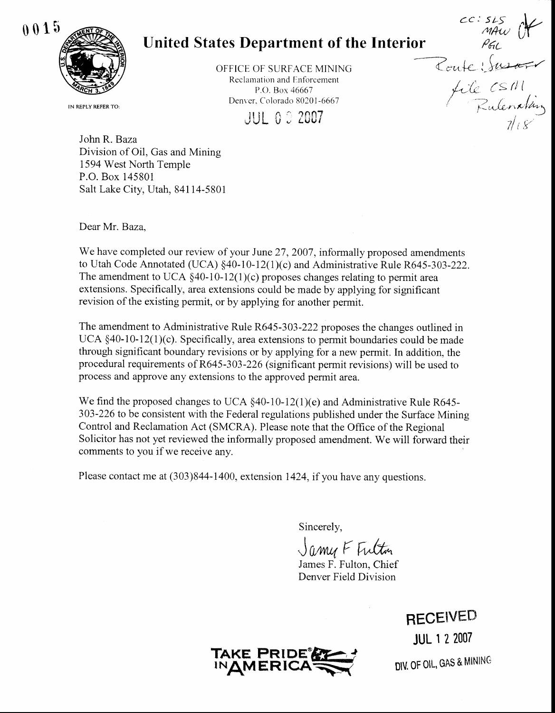

## United States Department of the Interior  $\longrightarrow$

OFFICE OF SURFACE MINING Reclamation and Enforcement P.O. Box 46667 Denver. Colorado 80201 -6667

**JUL 0 3 2007** 

IN REPLY REFER TO:

John R. Baza Division of Oil, Gas and Mining 1594 West North Temple P.O. Box 145801 Salt Lake City, Utah, 84114-5801

Dear Mr. Baza,

We have completed our review of your June 27, 2007, informally proposed amendments to Utah Code Annotated (UCA) \$40-10-12(1)(c) and Administrative Rule R645-303-222. The amendment to UCA  $\S$ 40-10-12(1)(c) proposes changes relating to permit area extensions. Specifically, area extensions could be made by applying for significant revision of the existing permit, or by applying for another permit.

The amendment to Administrative Rule R645-303-222 proposes the changes outlined in UCA \$40-10-12(1)(c). Specifically, area extensions to permit boundaries could be made through significant boundary revisions or by applying for a new permit. In addition, the procedural requirements of R645 -303-226 (significant permit revisions) will be used to process and approve any extensions to the approved permit area.

We find the proposed changes to UCA  $\S$ 40-10-12(1)(e) and Administrative Rule R645-303-226 to be consistent with the Federal regulations published under the Surface Mining Control and Reclamation Act (SMCRA). Please note that the Office of the Regional Solicitor has not yet reviewed the informally proposed amendment. We will forward their comments to you if we receive any.

Please contact me at (303)844-1400, extension 1424, if you have any questions.

Sincerely,

Jamy F Fulton

James F. Fulton, Chief Denver Field Division

**RECEIVED** JUL I 2 2007

: $\mu$ 

 $C \subseteq H$ (

Zulena*Van* 

 $\eta'$ i 8'

 $\frac{1}{\sqrt{2\pi}}$ 

 $\frac{1}{\sqrt{2\pi}}$ 

 $cc:$   $s_{LS}$ 



DIV. OF OIL, GAS & MINING